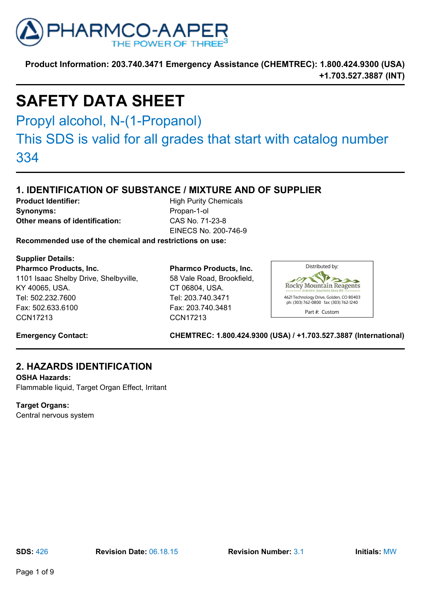

# **SAFETY DATA SHEET**

Propyl alcohol, N-(1-Propanol)

This SDS is valid for all grades that start with catalog number 334

## **1. IDENTIFICATION OF SUBSTANCE / MIXTURE AND OF SUPPLIER**

**Product Identifier:** High Purity Chemicals **Synonyms:** Propan-1-ol **Other means of identification:** CAS No. 71-23-8

EINECS No. 200-746-9

**Recommended use of the chemical and restrictions on use:**

**Supplier Details:**

**Pharmco Products, Inc.** 1101 Isaac Shelby Drive, Shelbyville, KY 40065, USA. Tel: 502.232.7600 Fax: 502.633.6100 CCN17213

**Pharmco Products, Inc.** 58 Vale Road, Brookfield, CT 06804, USA. Tel: 203.740.3471 Fax: 203.740.3481 CCN17213



**Emergency Contact: CHEMTREC: 1.800.424.9300 (USA) / +1.703.527.3887 (International)**

### **2. HAZARDS IDENTIFICATION**

**OSHA Hazards:** Flammable liquid, Target Organ Effect, Irritant

### **Target Organs:**

Central nervous system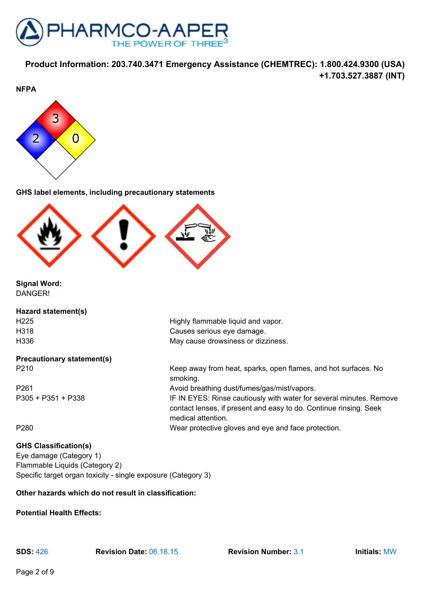



**GHS label elements, including precautionary statements**



**Signal Word:** DANGER!

### **Hazard statement(s)**

## **Precautionary statement(s)**

H225 Highly flammable liquid and vapor. H318 Causes serious eye damage. H336 May cause drowsiness or dizziness.

medical attention.

P210 Keep away from heat, sparks, open flames, and hot surfaces. No smoking. P261 Avoid breathing dust/fumes/gas/mist/vapors. P305 + P351 + P338 **IF IN EYES: Rinse cautiously with water for several minutes. Remove** contact lenses, if present and easy to do. Continue rinsing. Seek

P280 Wear protective gloves and eye and face protection.

### **GHS Classification(s)**

Eye damage (Category 1) Flammable Liquids (Category 2) Specific target organ toxicity - single exposure (Category 3)

### **Other hazards which do not result in classification:**

#### **Potential Health Effects:**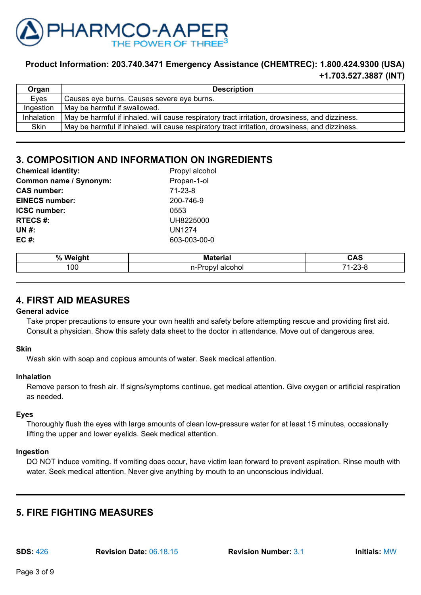

| Organ      | <b>Description</b>                                                                             |
|------------|------------------------------------------------------------------------------------------------|
| Eyes       | Causes eye burns. Causes severe eye burns.                                                     |
| Ingestion  | May be harmful if swallowed.                                                                   |
| Inhalation | May be harmful if inhaled. will cause respiratory tract irritation, drowsiness, and dizziness. |
| Skin       | May be harmful if inhaled. will cause respiratory tract irritation, drowsiness, and dizziness. |

### **3. COMPOSITION AND INFORMATION ON INGREDIENTS**

| <b>Chemical identity:</b> | Propyl alcohol |
|---------------------------|----------------|
| Common name / Synonym:    | Propan-1-ol    |
| <b>CAS number:</b>        | $71 - 23 - 8$  |
| <b>EINECS number:</b>     | 200-746-9      |
| <b>ICSC number:</b>       | 0553           |
| <b>RTECS#:</b>            | UH8225000      |
| UN #:                     | <b>UN1274</b>  |
| EC $#$ :                  | 603-003-00-0   |
|                           |                |

| $\mathbf{0}$<br><b></b><br>70 | . . | $\overline{\phantom{a}}$                                         |
|-------------------------------|-----|------------------------------------------------------------------|
| 100                           | ıOl | $\ddotsc$<br>⇁<br>$\overline{\phantom{0}}$<br>∋−c<br>້<br>$\sim$ |

### **4. FIRST AID MEASURES**

#### **General advice**

Take proper precautions to ensure your own health and safety before attempting rescue and providing first aid. Consult a physician. Show this safety data sheet to the doctor in attendance. Move out of dangerous area.

### **Skin**

Wash skin with soap and copious amounts of water. Seek medical attention.

### **Inhalation**

Remove person to fresh air. If signs/symptoms continue, get medical attention. Give oxygen or artificial respiration as needed.

### **Eyes**

Thoroughly flush the eyes with large amounts of clean low-pressure water for at least 15 minutes, occasionally lifting the upper and lower eyelids. Seek medical attention.

#### **Ingestion**

DO NOT induce vomiting. If vomiting does occur, have victim lean forward to prevent aspiration. Rinse mouth with water. Seek medical attention. Never give anything by mouth to an unconscious individual.

### **5. FIRE FIGHTING MEASURES**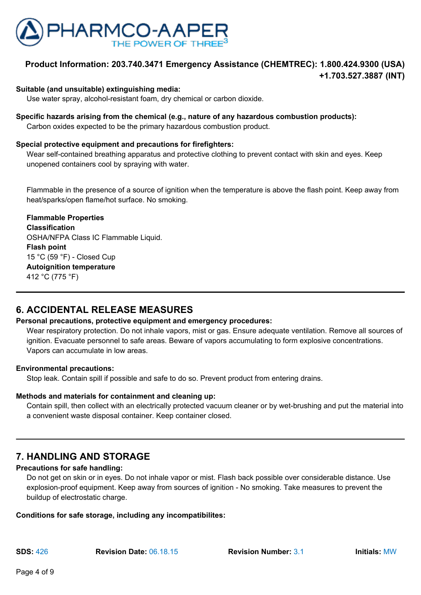

#### **Suitable (and unsuitable) extinguishing media:**

Use water spray, alcohol-resistant foam, dry chemical or carbon dioxide.

### **Specific hazards arising from the chemical (e.g., nature of any hazardous combustion products):**

Carbon oxides expected to be the primary hazardous combustion product.

### **Special protective equipment and precautions for firefighters:**

Wear self-contained breathing apparatus and protective clothing to prevent contact with skin and eyes. Keep unopened containers cool by spraying with water.

Flammable in the presence of a source of ignition when the temperature is above the flash point. Keep away from heat/sparks/open flame/hot surface. No smoking.

**Flammable Properties Classification** OSHA/NFPA Class IC Flammable Liquid. **Flash point** 15 °C (59 °F) - Closed Cup **Autoignition temperature** 412 °C (775 °F)

### **6. ACCIDENTAL RELEASE MEASURES**

### **Personal precautions, protective equipment and emergency procedures:**

Wear respiratory protection. Do not inhale vapors, mist or gas. Ensure adequate ventilation. Remove all sources of ignition. Evacuate personnel to safe areas. Beware of vapors accumulating to form explosive concentrations. Vapors can accumulate in low areas.

#### **Environmental precautions:**

Stop leak. Contain spill if possible and safe to do so. Prevent product from entering drains.

### **Methods and materials for containment and cleaning up:**

Contain spill, then collect with an electrically protected vacuum cleaner or by wet-brushing and put the material into a convenient waste disposal container. Keep container closed.

### **7. HANDLING AND STORAGE**

### **Precautions for safe handling:**

Do not get on skin or in eyes. Do not inhale vapor or mist. Flash back possible over considerable distance. Use explosion-proof equipment. Keep away from sources of ignition - No smoking. Take measures to prevent the buildup of electrostatic charge.

#### **Conditions for safe storage, including any incompatibilites:**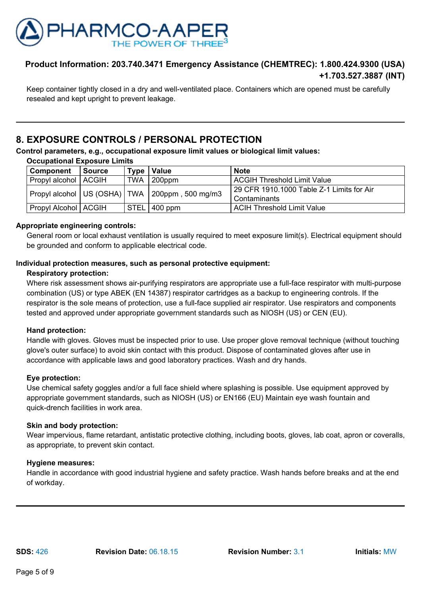

Keep container tightly closed in a dry and well-ventilated place. Containers which are opened must be carefully resealed and kept upright to prevent leakage.

### **8. EXPOSURE CONTROLS / PERSONAL PROTECTION**

**Control parameters, e.g., occupational exposure limit values or biological limit values:**

| <b>Occupational Exposure Limits</b> |               |                   |                                                      |                                             |
|-------------------------------------|---------------|-------------------|------------------------------------------------------|---------------------------------------------|
| Component                           | <b>Source</b> | Type <sub>1</sub> | Value                                                | <b>Note</b>                                 |
| Propyl alcohol   ACGIH              |               | <b>TWA</b>        | 200ppm                                               | <b>ACGIH Threshold Limit Value</b>          |
|                                     |               |                   | Propyl alcohol   US (OSHA)   TWA   200ppm, 500 mg/m3 | l 29 CFR 1910.1000 Table Z-1 Limits for Air |
|                                     |               |                   |                                                      | Contaminants                                |
| Propyl Alcohol   ACGIH              |               |                   | $\sqrt{\text{STEL}}$ 400 ppm                         | <b>ACIH Threshold Limit Value</b>           |

### **Appropriate engineering controls:**

General room or local exhaust ventilation is usually required to meet exposure limit(s). Electrical equipment should be grounded and conform to applicable electrical code.

### **Individual protection measures, such as personal protective equipment:**

### **Respiratory protection:**

Where risk assessment shows air-purifying respirators are appropriate use a full-face respirator with multi-purpose combination (US) or type ABEK (EN 14387) respirator cartridges as a backup to engineering controls. If the respirator is the sole means of protection, use a full-face supplied air respirator. Use respirators and components tested and approved under appropriate government standards such as NIOSH (US) or CEN (EU).

#### **Hand protection:**

Handle with gloves. Gloves must be inspected prior to use. Use proper glove removal technique (without touching glove's outer surface) to avoid skin contact with this product. Dispose of contaminated gloves after use in accordance with applicable laws and good laboratory practices. Wash and dry hands.

### **Eye protection:**

Use chemical safety goggles and/or a full face shield where splashing is possible. Use equipment approved by appropriate government standards, such as NIOSH (US) or EN166 (EU) Maintain eye wash fountain and quick-drench facilities in work area.

#### **Skin and body protection:**

Wear impervious, flame retardant, antistatic protective clothing, including boots, gloves, lab coat, apron or coveralls, as appropriate, to prevent skin contact.

### **Hygiene measures:**

Handle in accordance with good industrial hygiene and safety practice. Wash hands before breaks and at the end of workday.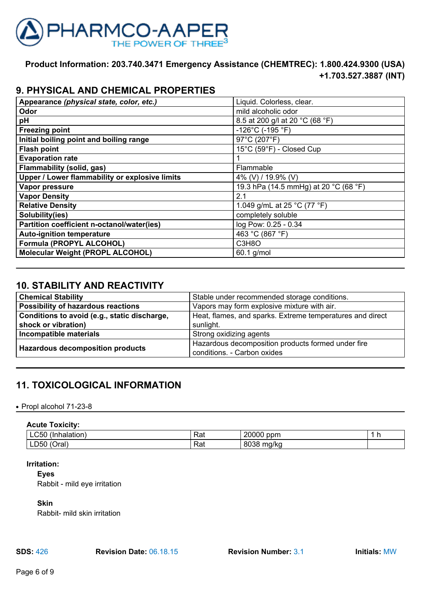

### **9. PHYSICAL AND CHEMICAL PROPERTIES**

| Appearance (physical state, color, etc.)       | Liquid. Colorless, clear.             |
|------------------------------------------------|---------------------------------------|
| Odor                                           | mild alcoholic odor                   |
| рH                                             | 8.5 at 200 g/l at 20 °C (68 °F)       |
| <b>Freezing point</b>                          | $-126^{\circ}$ C (-195 °F)            |
| Initial boiling point and boiling range        | 97°C (207°F)                          |
| <b>Flash point</b>                             | 15°C (59°F) - Closed Cup              |
| <b>Evaporation rate</b>                        |                                       |
| Flammability (solid, gas)                      | Flammable                             |
| Upper / Lower flammability or explosive limits | 4% (V) / 19.9% (V)                    |
| Vapor pressure                                 | 19.3 hPa (14.5 mmHg) at 20 °C (68 °F) |
| <b>Vapor Density</b>                           | 2.1                                   |
| <b>Relative Density</b>                        | 1.049 g/mL at 25 °C (77 °F)           |
| Solubility(ies)                                | completely soluble                    |
| Partition coefficient n-octanol/water(ies)     | log Pow: 0.25 - 0.34                  |
| <b>Auto-ignition temperature</b>               | 463 °C (867 °F)                       |
| Formula (PROPYL ALCOHOL)                       | C3H8O                                 |
| <b>Molecular Weight (PROPL ALCOHOL)</b>        | 60.1 g/mol                            |

### **10. STABILITY AND REACTIVITY**

| <b>Chemical Stability</b>                    | Stable under recommended storage conditions.              |  |
|----------------------------------------------|-----------------------------------------------------------|--|
| Possibility of hazardous reactions           | Vapors may form explosive mixture with air.               |  |
| Conditions to avoid (e.g., static discharge, | Heat, flames, and sparks. Extreme temperatures and direct |  |
| shock or vibration)                          | sunlight.                                                 |  |
| Incompatible materials                       | Strong oxidizing agents                                   |  |
| <b>Hazardous decomposition products</b>      | Hazardous decomposition products formed under fire        |  |
|                                              | conditions. - Carbon oxides                               |  |

### **11. TOXICOLOGICAL INFORMATION**

#### • Propl alcohol 71-23-8

### **Acute Toxicity:**

| ---------------                                               |           |                    |   |
|---------------------------------------------------------------|-----------|--------------------|---|
| -----<br>ັ∟∪ວ⊏′<br>10n<br>анат                                | Rat       | 20000<br>ppm       | . |
| $\cdot$<br>$\overline{\phantom{0}}$<br>LD50'<br>ا دro<br>viai | Rat<br>__ | 8038<br>ma/ka<br>. |   |

#### **Irritation:**

#### **Eyes**

Rabbit - mild eye irritation

#### **Skin**

Rabbit- mild skin irritation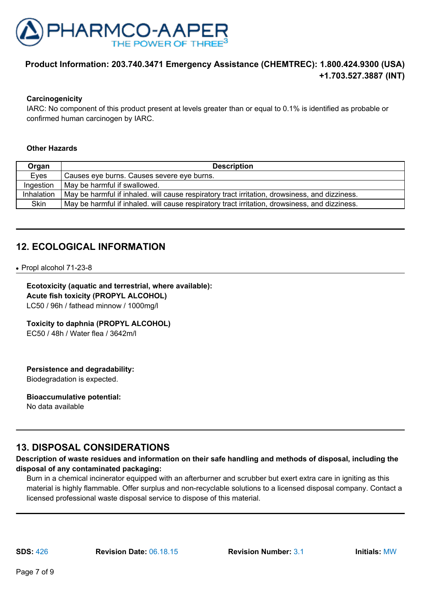

#### **Carcinogenicity**

IARC: No component of this product present at levels greater than or equal to 0.1% is identified as probable or confirmed human carcinogen by IARC.

#### **Other Hazards**

| Organ      | <b>Description</b>                                                                             |
|------------|------------------------------------------------------------------------------------------------|
| Eyes       | Causes eye burns. Causes severe eye burns.                                                     |
| Ingestion  | May be harmful if swallowed.                                                                   |
| Inhalation | May be harmful if inhaled. will cause respiratory tract irritation, drowsiness, and dizziness. |
| Skin       | May be harmful if inhaled. will cause respiratory tract irritation, drowsiness, and dizziness. |

### **12. ECOLOGICAL INFORMATION**

● Propl alcohol 71-23-8

### **Ecotoxicity (aquatic and terrestrial, where available):**

**Acute fish toxicity (PROPYL ALCOHOL)** LC50 / 96h / fathead minnow / 1000mg/l

### **Toxicity to daphnia (PROPYL ALCOHOL)**

EC50 / 48h / Water flea / 3642m/l

### **Persistence and degradability:**

Biodegradation is expected.

#### **Bioaccumulative potential:**

No data available

### **13. DISPOSAL CONSIDERATIONS**

### **Description of waste residues and information on their safe handling and methods of disposal, including the disposal of any contaminated packaging:**

Burn in a chemical incinerator equipped with an afterburner and scrubber but exert extra care in igniting as this material is highly flammable. Offer surplus and non-recyclable solutions to a licensed disposal company. Contact a licensed professional waste disposal service to dispose of this material.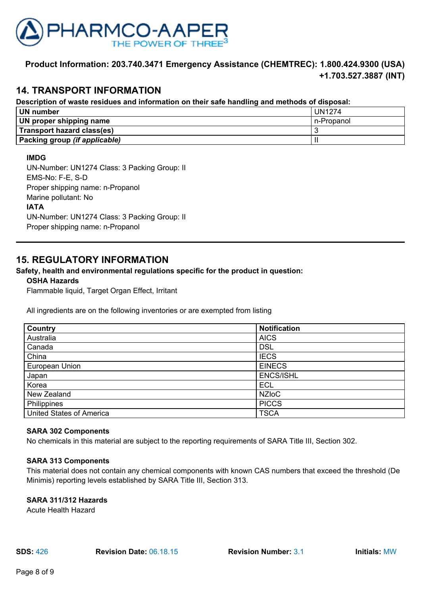

### **14. TRANSPORT INFORMATION**

### **Description of waste residues and information on their safe handling and methods of disposal:**

| <b>UN number</b>              | <b>UN1274</b> |
|-------------------------------|---------------|
| UN proper shipping name       | n-Propanol    |
| Transport hazard class(es)    |               |
| Packing group (if applicable) |               |

#### **IMDG**

UN-Number: UN1274 Class: 3 Packing Group: II EMS-No: F-E, S-D Proper shipping name: n-Propanol Marine pollutant: No **IATA** UN-Number: UN1274 Class: 3 Packing Group: II Proper shipping name: n-Propanol

### **15. REGULATORY INFORMATION**

### **Safety, health and environmental regulations specific for the product in question:**

### **OSHA Hazards**

Flammable liquid, Target Organ Effect, Irritant

All ingredients are on the following inventories or are exempted from listing

| <b>Country</b>                  | <b>Notification</b> |
|---------------------------------|---------------------|
| Australia                       | <b>AICS</b>         |
| Canada                          | <b>DSL</b>          |
| China                           | <b>IECS</b>         |
| European Union                  | <b>EINECS</b>       |
| Japan                           | <b>ENCS/ISHL</b>    |
| Korea                           | <b>ECL</b>          |
| New Zealand                     | <b>NZIOC</b>        |
| Philippines                     | <b>PICCS</b>        |
| <b>United States of America</b> | <b>TSCA</b>         |

#### **SARA 302 Components**

No chemicals in this material are subject to the reporting requirements of SARA Title III, Section 302.

#### **SARA 313 Components**

This material does not contain any chemical components with known CAS numbers that exceed the threshold (De Minimis) reporting levels established by SARA Title III, Section 313.

### **SARA 311/312 Hazards**

Acute Health Hazard